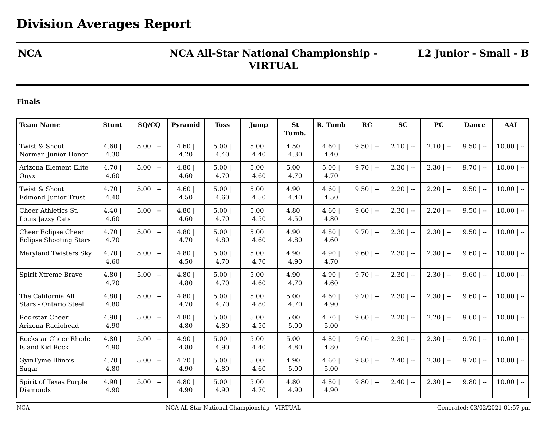## **NCA NCA All-Star National Championship - VIRTUAL**

**L2 Junior - Small - B**

## **Finals**

| <b>Team Name</b>                                     | <b>Stunt</b>     | SQ/CQ       | Pyramid       | <b>Toss</b>  | Jump         | <b>St</b><br>Tumb. | R. Tumb      | RC          | <b>SC</b>    | PC           | <b>Dance</b> | AAI          |
|------------------------------------------------------|------------------|-------------|---------------|--------------|--------------|--------------------|--------------|-------------|--------------|--------------|--------------|--------------|
| Twist & Shout<br>Norman Junior Honor                 | $4.60$  <br>4.30 | $5.00$   -- | 4.60<br>4.20  | 5.00<br>4.40 | 5.00<br>4.40 | 4.50<br>4.30       | 4.60<br>4.40 | $9.50$   -- | $2.10$   $-$ | $2.10$   --  | $9.50$   --  | $10.00$   -- |
| Arizona Element Elite<br>Onyx                        | $4.70$  <br>4.60 | $5.00$   -- | 4.80<br>4.60  | 5.00<br>4.70 | 5.00<br>4.60 | 5.00<br>4.70       | 5.00<br>4.70 | $9.70$   -- | $2.30$   --  | $2.30$   --  | $9.70$   --  | $10.00$   -- |
| Twist & Shout<br>Edmond Junior Trust                 | $4.70$  <br>4.40 | $5.00$   -- | 4.60<br>4.50  | 5.00<br>4.60 | 5.00<br>4.50 | 4.90<br>4.40       | 4.60<br>4.50 | $9.50$   -- | $2.20$   --  | $2.20$   $-$ | $9.50$   --  | $10.00$   -- |
| Cheer Athletics St.<br>Louis Jazzy Cats              | 4.40<br>4.60     | $5.00$   -- | 4.80<br>4.60  | 5.00<br>4.70 | 5.00<br>4.50 | 4.80<br>4.50       | 4.60<br>4.80 | $9.60$   -- | $2.30$   $-$ | $2.20$   $-$ | $9.50$   --  | $10.00$   -- |
| Cheer Eclipse Cheer<br><b>Eclipse Shooting Stars</b> | $4.70$  <br>4.70 | $5.00$   -- | 4.80<br>4.70  | 5.00<br>4.80 | 5.00<br>4.60 | 4.90 <br>4.80      | 4.80<br>4.60 | $9.70$   -- | $2.30$   --  | $2.30$   --  | $9.50$   --  | $10.00$   -- |
| Maryland Twisters Sky                                | $4.70$  <br>4.60 | $5.00$   -- | 4.80<br>4.50  | 5.00<br>4.70 | 5.00<br>4.70 | 4.90 <br>4.90      | 4.90<br>4.70 | $9.60$   -- | $2.30$   --  | $2.30$   --  | $9.60$   --  | $10.00$   -- |
| Spirit Xtreme Brave                                  | 4.80<br>4.70     | $5.00$   -- | 4.80<br>4.80  | 5.00<br>4.70 | 5.00<br>4.60 | 4.90<br>4.70       | 4.90<br>4.60 | $9.70$   -- | $2.30$   $-$ | $2.30$   $-$ | $9.60$   --  | $10.00$   -- |
| The California All<br>Stars - Ontario Steel          | 4.80<br>4.80     | $5.00$   -- | 4.80<br>4.70  | 5.00<br>4.70 | 5.00<br>4.80 | 5.00<br>4.70       | 4.60<br>4.90 | $9.70$   -- | $2.30$   $-$ | $2.30$   --  | $9.60$   --  | $10.00$   -- |
| Rockstar Cheer<br>Arizona Radiohead                  | 4.90<br>4.90     | $5.00$   -- | 4.80<br>4.80  | 5.00<br>4.80 | 5.00<br>4.50 | 5.00<br>5.00       | 4.70<br>5.00 | $9.60$   -- | $2.20$   --  | $2.20$   $-$ | $9.60$   --  | $10.00$   -- |
| Rockstar Cheer Rhode<br>Island Kid Rock              | 4.80<br>4.90     | $5.00$   -- | 4.90 <br>4.80 | 5.00<br>4.90 | 5.00<br>4.40 | 5.00<br>4.80       | 4.80<br>4.80 | $9.60$   -- | $2.30$   $-$ | $2.30$   $-$ | $9.70$   --  | $10.00$   -- |
| GymTyme Illinois<br>Sugar                            | 4.70 <br>4.80    | $5.00$   -- | 4.70<br>4.90  | 5.00<br>4.80 | 5.00<br>4.60 | 4.90 <br>5.00      | 4.60<br>5.00 | $9.80$   -- | $2.40$   $-$ | $2.30$   $-$ | $9.70$   --  | $10.00$   -- |
| Spirit of Texas Purple<br>Diamonds                   | 4.90 <br>4.90    | $5.00$   -- | 4.80<br>4.90  | 5.00<br>4.90 | 5.00<br>4.70 | 4.80<br>4.90       | 4.80<br>4.90 | $9.80$   -- | $2.40$   $-$ | $2.30$   --  | $9.80$   --  | $10.00$   -- |